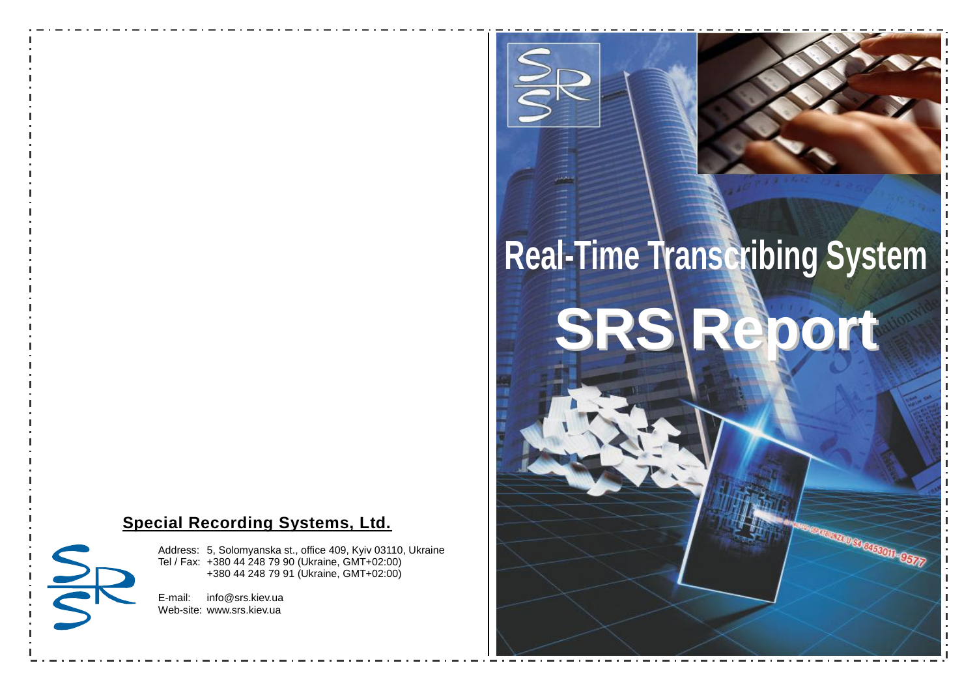### **Special Recording Systems, Ltd.**

Address: 5, Solomyanska st., office 409, Kyiv 03110, Ukraine Tel / Fax: +380 44 248 79 90 (Ukraine, GMT+02:00) +380 44 248 79 91 (Ukraine, GMT+02:00)

E-mail: info@srs.kiev.ua Web-site: www.srs.kiev.ua

SID

# **Real-Time Transcribing System**

**SRS Report**